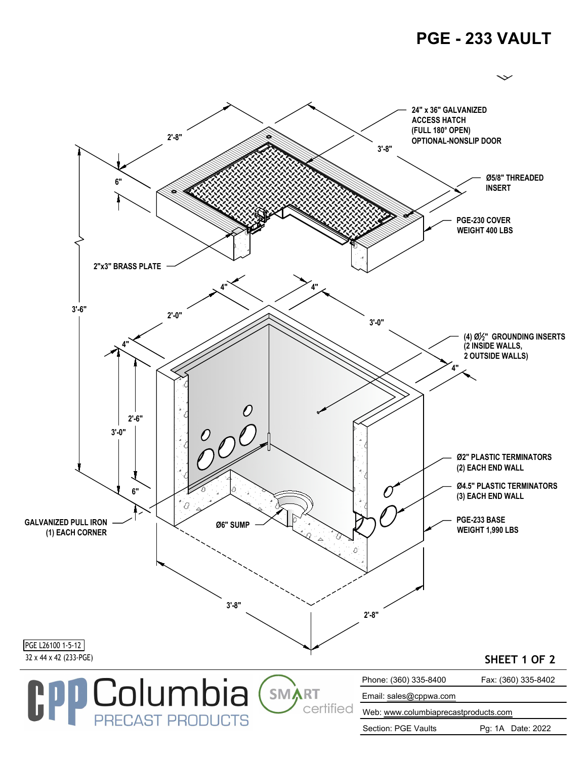## **PGE - 233 VAULT**